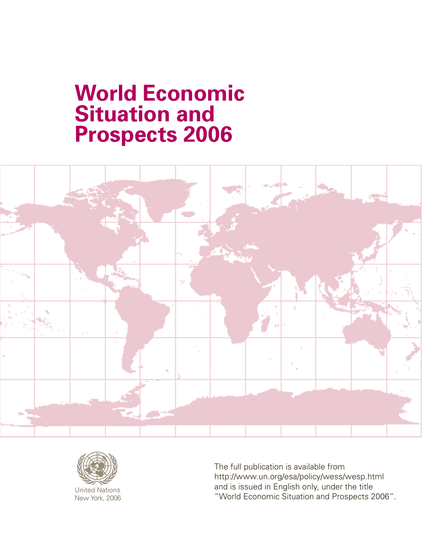# **World Economic Situation and Prospects 2006**





The full publication is available from http://www.un.org/esa/policy/wess/wesp.html and is issued in English only, under the title "World Economic Situation and Prospects 2006".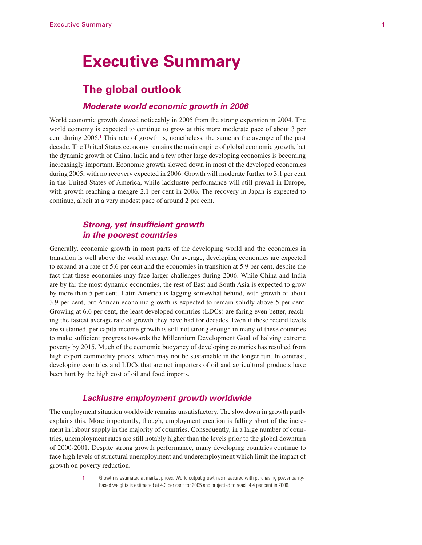## **Executive Summary**

## **The global outlook**

#### *Moderate world economic growth in 2006*

World economic growth slowed noticeably in 2005 from the strong expansion in 2004. The world economy is expected to continue to grow at this more moderate pace of about 3 per cent during 2006.**1** This rate of growth is, nonetheless, the same as the average of the past decade. The United States economy remains the main engine of global economic growth, but the dynamic growth of China, India and a few other large developing economies is becoming increasingly important. Economic growth slowed down in most of the developed economies during 2005, with no recovery expected in 2006. Growth will moderate further to 3.1 per cent in the United States of America, while lacklustre performance will still prevail in Europe, with growth reaching a meagre 2.1 per cent in 2006. The recovery in Japan is expected to continue, albeit at a very modest pace of around 2 per cent.

#### *Strong, yet insufficient growth in the poorest countries*

Generally, economic growth in most parts of the developing world and the economies in transition is well above the world average. On average, developing economies are expected to expand at a rate of 5.6 per cent and the economies in transition at 5.9 per cent, despite the fact that these economies may face larger challenges during 2006. While China and India are by far the most dynamic economies, the rest of East and South Asia is expected to grow by more than 5 per cent. Latin America is lagging somewhat behind, with growth of about 3.9 per cent, but African economic growth is expected to remain solidly above 5 per cent. Growing at 6.6 per cent, the least developed countries (LDCs) are faring even better, reaching the fastest average rate of growth they have had for decades. Even if these record levels are sustained, per capita income growth is still not strong enough in many of these countries to make sufficient progress towards the Millennium Development Goal of halving extreme poverty by 2015. Much of the economic buoyancy of developing countries has resulted from high export commodity prices, which may not be sustainable in the longer run. In contrast, developing countries and LDCs that are net importers of oil and agricultural products have been hurt by the high cost of oil and food imports.

#### *Lacklustre employment growth worldwide*

The employment situation worldwide remains unsatisfactory. The slowdown in growth partly explains this. More importantly, though, employment creation is falling short of the increment in labour supply in the majority of countries. Consequently, in a large number of countries, unemployment rates are still notably higher than the levels prior to the global downturn of 2000-2001. Despite strong growth performance, many developing countries continue to face high levels of structural unemployment and underemployment which limit the impact of growth on poverty reduction.

**1** Growth is estimated at market prices. World output growth as measured with purchasing power paritybased weights is estimated at 4.3 per cent for 2005 and projected to reach 4.4 per cent in 2006.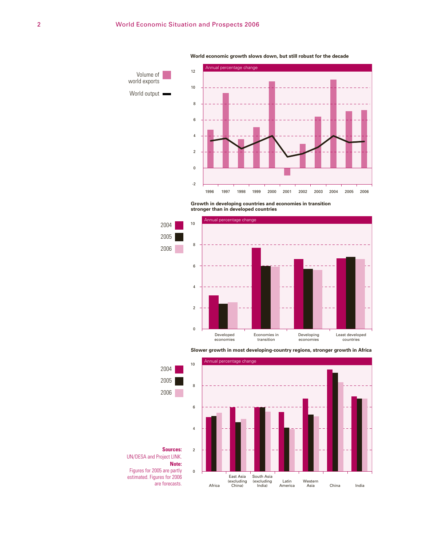

**Growth in developing countries and economies in transition stronger than in developed countries**

**World economic growth slows down, but still robust for the decade**



**Slower growth in most developing-country regions, stronger growth in Africa**

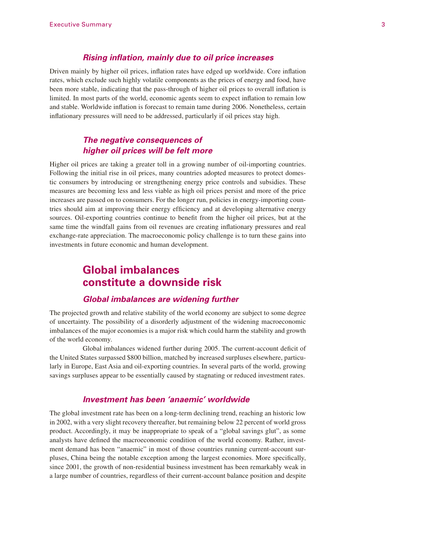#### *Rising infl ation, mainly due to oil price increases*

Driven mainly by higher oil prices, inflation rates have edged up worldwide. Core inflation rates, which exclude such highly volatile components as the prices of energy and food, have been more stable, indicating that the pass-through of higher oil prices to overall inflation is limited. In most parts of the world, economic agents seem to expect inflation to remain low and stable. Worldwide inflation is forecast to remain tame during 2006. Nonetheless, certain inflationary pressures will need to be addressed, particularly if oil prices stay high.

#### *The negative consequences of higher oil prices will be felt more*

Higher oil prices are taking a greater toll in a growing number of oil-importing countries. Following the initial rise in oil prices, many countries adopted measures to protect domestic consumers by introducing or strengthening energy price controls and subsidies. These measures are becoming less and less viable as high oil prices persist and more of the price increases are passed on to consumers. For the longer run, policies in energy-importing countries should aim at improving their energy efficiency and at developing alternative energy sources. Oil-exporting countries continue to benefit from the higher oil prices, but at the same time the windfall gains from oil revenues are creating inflationary pressures and real exchange-rate appreciation. The macroeconomic policy challenge is to turn these gains into investments in future economic and human development.

## **Global imbalances constitute a downside risk**

#### *Global imbalances are widening further*

The projected growth and relative stability of the world economy are subject to some degree of uncertainty. The possibility of a disorderly adjustment of the widening macroeconomic imbalances of the major economies is a major risk which could harm the stability and growth of the world economy.

Global imbalances widened further during 2005. The current-account deficit of the United States surpassed \$800 billion, matched by increased surpluses elsewhere, particularly in Europe, East Asia and oil-exporting countries. In several parts of the world, growing savings surpluses appear to be essentially caused by stagnating or reduced investment rates.

#### *Investment has been 'anaemic' worldwide*

The global investment rate has been on a long-term declining trend, reaching an historic low in 2002, with a very slight recovery thereafter, but remaining below 22 percent of world gross product. Accordingly, it may be inappropriate to speak of a "global savings glut", as some analysts have defined the macroeconomic condition of the world economy. Rather, investment demand has been "anaemic" in most of those countries running current-account surpluses, China being the notable exception among the largest economies. More specifically, since 2001, the growth of non-residential business investment has been remarkably weak in a large number of countries, regardless of their current-account balance position and despite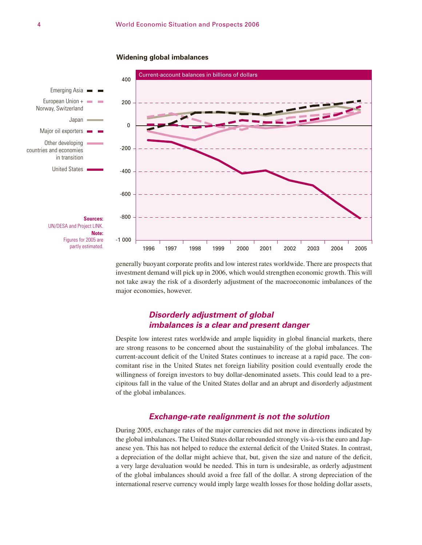

#### **Widening global imbalances**

generally buoyant corporate profits and low interest rates worldwide. There are prospects that investment demand will pick up in 2006, which would strengthen economic growth. This will not take away the risk of a disorderly adjustment of the macroeconomic imbalances of the major economies, however.

#### *Disorderly adjustment of global imbalances is a clear and present danger*

Despite low interest rates worldwide and ample liquidity in global financial markets, there are strong reasons to be concerned about the sustainability of the global imbalances. The current-account deficit of the United States continues to increase at a rapid pace. The concomitant rise in the United States net foreign liability position could eventually erode the willingness of foreign investors to buy dollar-denominated assets. This could lead to a precipitous fall in the value of the United States dollar and an abrupt and disorderly adjustment of the global imbalances.

#### *Exchange-rate realignment is not the solution*

During 2005, exchange rates of the major currencies did not move in directions indicated by the global imbalances. The United States dollar rebounded strongly vis-à-vis the euro and Japanese yen. This has not helped to reduce the external deficit of the United States. In contrast, a depreciation of the dollar might achieve that, but, given the size and nature of the deficit, a very large devaluation would be needed. This in turn is undesirable, as orderly adjustment of the global imbalances should avoid a free fall of the dollar. A strong depreciation of the international reserve currency would imply large wealth losses for those holding dollar assets,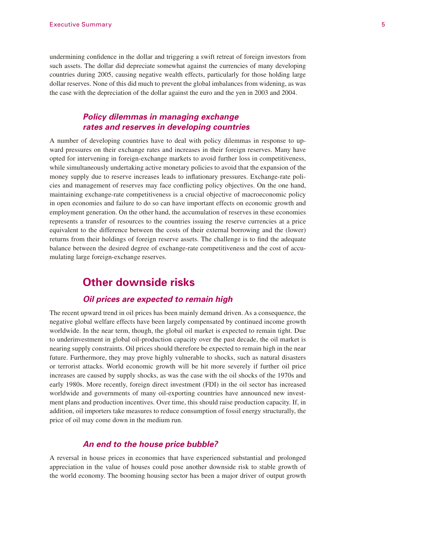undermining confidence in the dollar and triggering a swift retreat of foreign investors from such assets. The dollar did depreciate somewhat against the currencies of many developing countries during 2005, causing negative wealth effects, particularly for those holding large dollar reserves. None of this did much to prevent the global imbalances from widening, as was the case with the depreciation of the dollar against the euro and the yen in 2003 and 2004.

#### *Policy dilemmas in managing exchange rates and reserves in developing countries*

A number of developing countries have to deal with policy dilemmas in response to upward pressures on their exchange rates and increases in their foreign reserves. Many have opted for intervening in foreign-exchange markets to avoid further loss in competitiveness, while simultaneously undertaking active monetary policies to avoid that the expansion of the money supply due to reserve increases leads to inflationary pressures. Exchange-rate policies and management of reserves may face conflicting policy objectives. On the one hand, maintaining exchange-rate competitiveness is a crucial objective of macroeconomic policy in open economies and failure to do so can have important effects on economic growth and employment generation. On the other hand, the accumulation of reserves in these economies represents a transfer of resources to the countries issuing the reserve currencies at a price equivalent to the difference between the costs of their external borrowing and the (lower) returns from their holdings of foreign reserve assets. The challenge is to find the adequate balance between the desired degree of exchange-rate competitiveness and the cost of accumulating large foreign-exchange reserves.

## **Other downside risks**

#### *Oil prices are expected to remain high*

The recent upward trend in oil prices has been mainly demand driven. As a consequence, the negative global welfare effects have been largely compensated by continued income growth worldwide. In the near term, though, the global oil market is expected to remain tight. Due to underinvestment in global oil-production capacity over the past decade, the oil market is nearing supply constraints. Oil prices should therefore be expected to remain high in the near future. Furthermore, they may prove highly vulnerable to shocks, such as natural disasters or terrorist attacks. World economic growth will be hit more severely if further oil price increases are caused by supply shocks, as was the case with the oil shocks of the 1970s and early 1980s. More recently, foreign direct investment (FDI) in the oil sector has increased worldwide and governments of many oil-exporting countries have announced new investment plans and production incentives. Over time, this should raise production capacity. If, in addition, oil importers take measures to reduce consumption of fossil energy structurally, the price of oil may come down in the medium run.

#### *An end to the house price bubble?*

A reversal in house prices in economies that have experienced substantial and prolonged appreciation in the value of houses could pose another downside risk to stable growth of the world economy. The booming housing sector has been a major driver of output growth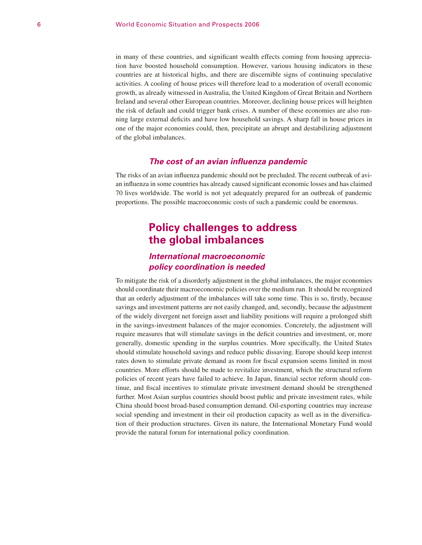in many of these countries, and significant wealth effects coming from housing appreciation have boosted household consumption. However, various housing indicators in these countries are at historical highs, and there are discernible signs of continuing speculative activities. A cooling of house prices will therefore lead to a moderation of overall economic growth, as already witnessed in Australia, the United Kingdom of Great Britain and Northern Ireland and several other European countries. Moreover, declining house prices will heighten the risk of default and could trigger bank crises. A number of these economies are also running large external deficits and have low household savings. A sharp fall in house prices in one of the major economies could, then, precipitate an abrupt and destabilizing adjustment of the global imbalances.

#### *The cost of an avian infl uenza pandemic*

The risks of an avian influenza pandemic should not be precluded. The recent outbreak of avian influenza in some countries has already caused significant economic losses and has claimed 70 lives worldwide. The world is not yet adequately prepared for an outbreak of pandemic proportions. The possible macroeconomic costs of such a pandemic could be enormous.

## **Policy challenges to address the global imbalances**

#### *International macroeconomic policy coordination is needed*

To mitigate the risk of a disorderly adjustment in the global imbalances, the major economies should coordinate their macroeconomic policies over the medium run. It should be recognized that an orderly adjustment of the imbalances will take some time. This is so, firstly, because savings and investment patterns are not easily changed, and, secondly, because the adjustment of the widely divergent net foreign asset and liability positions will require a prolonged shift in the savings-investment balances of the major economies. Concretely, the adjustment will require measures that will stimulate savings in the deficit countries and investment, or, more generally, domestic spending in the surplus countries. More specifically, the United States should stimulate household savings and reduce public dissaving. Europe should keep interest rates down to stimulate private demand as room for fiscal expansion seems limited in most countries. More efforts should be made to revitalize investment, which the structural reform policies of recent years have failed to achieve. In Japan, financial sector reform should continue, and fiscal incentives to stimulate private investment demand should be strengthened further. Most Asian surplus countries should boost public and private investment rates, while China should boost broad-based consumption demand. Oil-exporting countries may increase social spending and investment in their oil production capacity as well as in the diversification of their production structures. Given its nature, the International Monetary Fund would provide the natural forum for international policy coordination.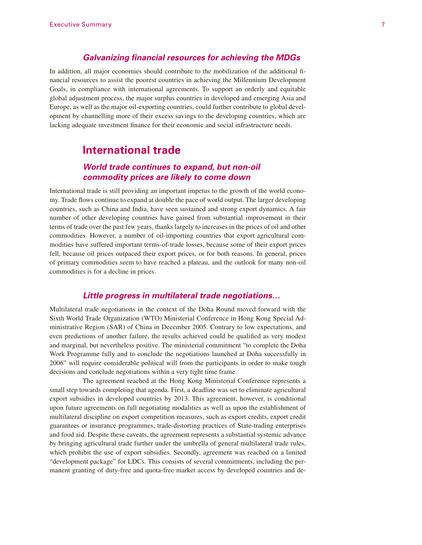#### **Galvanizing financial resources for achieving the MDGs**

In addition, all major economies should contribute to the mobilization of the additional financial resources to assist the poorest countries in achieving the Millennium Development Goals, in compliance with international agreements. To support an orderly and equitable global adjustment process, the major surplus countries in developed and emerging Asia and Europe, as well as the major oil-exporting countries, could further contribute to global development by channelling more of their excess savings to the developing countries, which are lacking adequate investment finance for their economic and social infrastructure needs.

### **International trade**

#### *World trade continues to expand, but non-oil commodity prices are likely to come down*

International trade is still providing an important impetus to the growth of the world economy. Trade flows continue to expand at double the pace of world output. The larger developing countries, such as China and India, have seen sustained and strong export dynamics. A fair number of other developing countries have gained from substantial improvement in their terms of trade over the past few years, thanks largely to increases in the prices of oil and other commodities. However, a number of oil-importing countries that export agricultural commodities have suffered important terms-of-trade losses, because some of their export prices fell, because oil prices outpaced their export prices, or for both reasons. In general, prices of primary commodities seem to have reached a plateau, and the outlook for many non-oil commodities is for a decline in prices.

#### *Little progress in multilateral trade negotiations…*

Multilateral trade negotiations in the context of the Doha Round moved forward with the Sixth World Trade Organization (WTO) Ministerial Conference in Hong Kong Special Administrative Region (SAR) of China in December 2005. Contrary to low expectations, and even predictions of another failure, the results achieved could be qualified as very modest and marginal, but nevertheless positive. The ministerial commitment "to complete the Doha Work Programme fully and to conclude the negotiations launched at Doha successfully in 2006" will require considerable political will from the participants in order to make tough decisions and conclude negotiations within a very tight time frame.

The agreement reached at the Hong Kong Ministerial Conference represents a small step towards completing that agenda. First, a deadline was set to eliminate agricultural export subsidies in developed countries by 2013. This agreement, however, is conditional upon future agreements on full negotiating modalities as well as upon the establishment of multilateral discipline on export competition measures, such as export credits, export credit guarantees or insurance programmes, trade-distorting practices of State-trading enterprises and food aid. Despite these caveats, the agreement represents a substantial systemic advance by bringing agricultural trade further under the umbrella of general multilateral trade rules, which prohibit the use of export subsidies. Secondly, agreement was reached on a limited "development package" for LDCs. This consists of several commitments, including the permanent granting of duty-free and quota-free market access by developed countries and de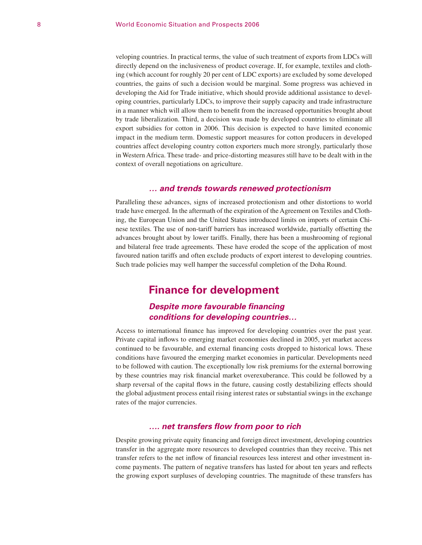veloping countries. In practical terms, the value of such treatment of exports from LDCs will directly depend on the inclusiveness of product coverage. If, for example, textiles and clothing (which account for roughly 20 per cent of LDC exports) are excluded by some developed countries, the gains of such a decision would be marginal. Some progress was achieved in developing the Aid for Trade initiative, which should provide additional assistance to developing countries, particularly LDCs, to improve their supply capacity and trade infrastructure in a manner which will allow them to benefit from the increased opportunities brought about by trade liberalization. Third, a decision was made by developed countries to eliminate all export subsidies for cotton in 2006. This decision is expected to have limited economic impact in the medium term. Domestic support measures for cotton producers in developed countries affect developing country cotton exporters much more strongly, particularly those in Western Africa. These trade- and price-distorting measures still have to be dealt with in the context of overall negotiations on agriculture.

#### *… and trends towards renewed protectionism*

Paralleling these advances, signs of increased protectionism and other distortions to world trade have emerged. In the aftermath of the expiration of the Agreement on Textiles and Clothing, the European Union and the United States introduced limits on imports of certain Chinese textiles. The use of non-tariff barriers has increased worldwide, partially offsetting the advances brought about by lower tariffs. Finally, there has been a mushrooming of regional and bilateral free trade agreements. These have eroded the scope of the application of most favoured nation tariffs and often exclude products of export interest to developing countries. Such trade policies may well hamper the successful completion of the Doha Round.

## **Finance for development**

#### **Despite more favourable financing** *conditions for developing countries…*

Access to international finance has improved for developing countries over the past year. Private capital inflows to emerging market economies declined in 2005, yet market access continued to be favourable, and external financing costs dropped to historical lows. These conditions have favoured the emerging market economies in particular. Developments need to be followed with caution. The exceptionally low risk premiums for the external borrowing by these countries may risk financial market overexuberance. This could be followed by a sharp reversal of the capital flows in the future, causing costly destabilizing effects should the global adjustment process entail rising interest rates or substantial swings in the exchange rates of the major currencies.

#### *…. net transfers fl ow from poor to rich*

Despite growing private equity financing and foreign direct investment, developing countries transfer in the aggregate more resources to developed countries than they receive. This net transfer refers to the net inflow of financial resources less interest and other investment income payments. The pattern of negative transfers has lasted for about ten years and reflects the growing export surpluses of developing countries. The magnitude of these transfers has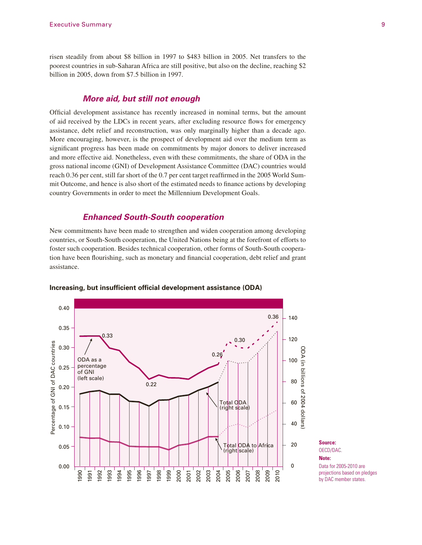risen steadily from about \$8 billion in 1997 to \$483 billion in 2005. Net transfers to the poorest countries in sub-Saharan Africa are still positive, but also on the decline, reaching \$2 billion in 2005, down from \$7.5 billion in 1997.

#### *More aid, but still not enough*

Official development assistance has recently increased in nominal terms, but the amount of aid received by the LDCs in recent years, after excluding resource flows for emergency assistance, debt relief and reconstruction, was only marginally higher than a decade ago. More encouraging, however, is the prospect of development aid over the medium term as significant progress has been made on commitments by major donors to deliver increased and more effective aid. Nonetheless, even with these commitments, the share of ODA in the gross national income (GNI) of Development Assistance Committee (DAC) countries would reach 0.36 per cent, still far short of the 0.7 per cent target reaffirmed in the 2005 World Summit Outcome, and hence is also short of the estimated needs to finance actions by developing country Governments in order to meet the Millennium Development Goals.

#### *Enhanced South-South cooperation*

New commitments have been made to strengthen and widen cooperation among developing countries, or South-South cooperation, the United Nations being at the forefront of efforts to foster such cooperation. Besides technical cooperation, other forms of South-South cooperation have been flourishing, such as monetary and financial cooperation, debt relief and grant assistance.



#### **Increasing, but insufficient official development assistance (ODA)**

Data for 2005-2010 are projections based on pledges by DAC member states.

**Source:** OECD/DAC. **Note:**